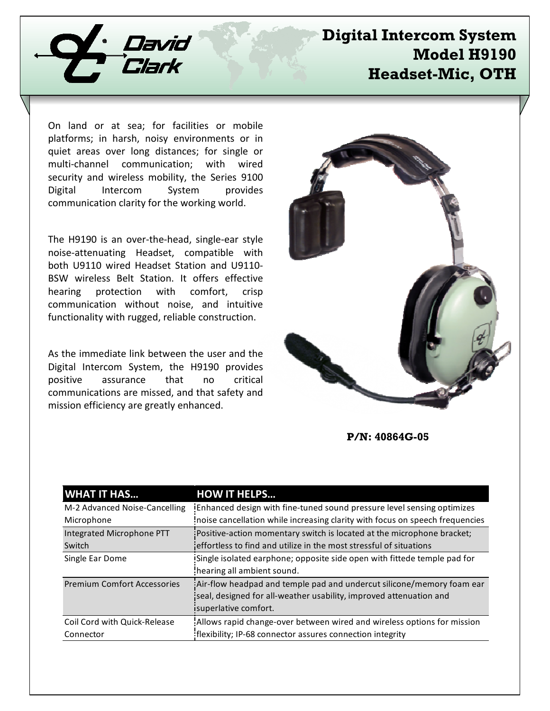

# **Digital Intercom System Model H9190 Headset-Mic, OTH**

On land or at sea; for facilities or mobile platforms; in harsh, noisy environments or in quiet areas over long distances; for single or multi-channel communication; with wired security and wireless mobility, the Series 9100 Digital Intercom System provides communication clarity for the working world.

The H9190 is an over-the-head, single-ear style noise-attenuating Headset, compatible with both U9110 wired Headset Station and U9110- BSW wireless Belt Station. It offers effective hearing protection with comfort, crisp communication without noise, and intuitive functionality with rugged, reliable construction.

As the immediate link between the user and the Digital Intercom System, the H9190 provides positive assurance that no critical communications are missed, and that safety and mission efficiency are greatly enhanced.



**P/N: 40864G-05**

| <b>WHAT IT HAS</b>                 | <b>HOW IT HELPS</b>                                                          |
|------------------------------------|------------------------------------------------------------------------------|
| M-2 Advanced Noise-Cancelling      | Enhanced design with fine-tuned sound pressure level sensing optimizes       |
| Microphone                         | noise cancellation while increasing clarity with focus on speech frequencies |
| Integrated Microphone PTT          | Positive-action momentary switch is located at the microphone bracket;       |
| Switch                             | effortless to find and utilize in the most stressful of situations           |
| Single Ear Dome                    | Single isolated earphone; opposite side open with fittede temple pad for     |
|                                    | hearing all ambient sound.                                                   |
| <b>Premium Comfort Accessories</b> | Air-flow headpad and temple pad and undercut silicone/memory foam ear        |
|                                    | seal, designed for all-weather usability, improved attenuation and           |
|                                    | isuperlative comfort.                                                        |
| Coil Cord with Quick-Release       | Allows rapid change-over between wired and wireless options for mission      |
| Connector                          | flexibility; IP-68 connector assures connection integrity                    |